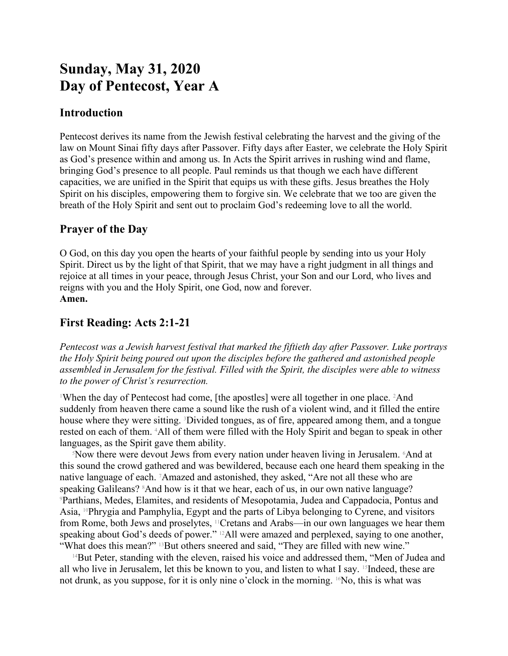# **Sunday, May 31, 2020 Day of Pentecost, Year A**

### **Introduction**

Pentecost derives its name from the Jewish festival celebrating the harvest and the giving of the law on Mount Sinai fifty days after Passover. Fifty days after Easter, we celebrate the Holy Spirit as God's presence within and among us. In Acts the Spirit arrives in rushing wind and flame, bringing God's presence to all people. Paul reminds us that though we each have different capacities, we are unified in the Spirit that equips us with these gifts. Jesus breathes the Holy Spirit on his disciples, empowering them to forgive sin. We celebrate that we too are given the breath of the Holy Spirit and sent out to proclaim God's redeeming love to all the world.

## **Prayer of the Day**

O God, on this day you open the hearts of your faithful people by sending into us your Holy Spirit. Direct us by the light of that Spirit, that we may have a right judgment in all things and rejoice at all times in your peace, through Jesus Christ, your Son and our Lord, who lives and reigns with you and the Holy Spirit, one God, now and forever. **Amen.**

# **First Reading: Acts 2:1-21**

*Pentecost was a Jewish harvest festival that marked the fiftieth day after Passover. Luke portrays the Holy Spirit being poured out upon the disciples before the gathered and astonished people assembled in Jerusalem for the festival. Filled with the Spirit, the disciples were able to witness to the power of Christ's resurrection.*

<sup>1</sup>When the day of Pentecost had come, [the apostles] were all together in one place. <sup>2</sup>And suddenly from heaven there came a sound like the rush of a violent wind, and it filled the entire house where they were sitting. 3Divided tongues, as of fire, appeared among them, and a tongue rested on each of them. 4All of them were filled with the Holy Spirit and began to speak in other languages, as the Spirit gave them ability.

<sup>5</sup>Now there were devout Jews from every nation under heaven living in Jerusalem. 6And at this sound the crowd gathered and was bewildered, because each one heard them speaking in the native language of each. 7Amazed and astonished, they asked, "Are not all these who are speaking Galileans? <sup>8</sup>And how is it that we hear, each of us, in our own native language? <sup>9</sup>Parthians, Medes, Elamites, and residents of Mesopotamia, Judea and Cappadocia, Pontus and Asia, 10Phrygia and Pamphylia, Egypt and the parts of Libya belonging to Cyrene, and visitors from Rome, both Jews and proselytes, 11Cretans and Arabs—in our own languages we hear them speaking about God's deeds of power." 12All were amazed and perplexed, saying to one another, "What does this mean?"<sup>13</sup>But others sneered and said, "They are filled with new wine."

 $14$ But Peter, standing with the eleven, raised his voice and addressed them, "Men of Judea and all who live in Jerusalem, let this be known to you, and listen to what I say. 15Indeed, these are not drunk, as you suppose, for it is only nine o'clock in the morning.  $16N\sigma$ , this is what was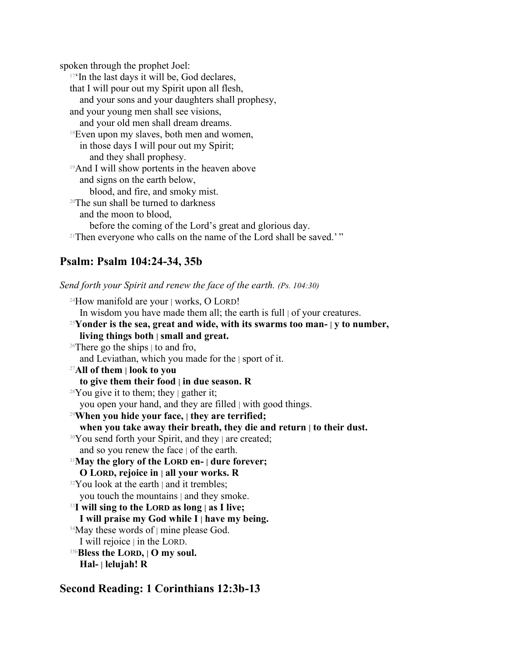spoken through the prophet Joel:

<sup>17</sup>'In the last days it will be, God declares, that I will pour out my Spirit upon all flesh, and your sons and your daughters shall prophesy, and your young men shall see visions, and your old men shall dream dreams. <sup>18</sup>Even upon my slaves, both men and women, in those days I will pour out my Spirit; and they shall prophesy. <sup>19</sup>And I will show portents in the heaven above and signs on the earth below, blood, and fire, and smoky mist. <sup>20</sup>The sun shall be turned to darkness and the moon to blood, before the coming of the Lord's great and glorious day.  $21$ Then everyone who calls on the name of the Lord shall be saved.'"

# **Psalm: Psalm 104:24-34, 35b**

*Send forth your Spirit and renew the face of the earth. (Ps. 104:30)*

```
<sup>24</sup>How manifold are your | works, O LORD!
  In wisdom you have made them all; the earth is full | of your creatures.
25Yonder is the sea, great and wide, with its swarms too man- | y to number,
  living things both | small and great.
<sup>26</sup>There go the ships \vert to and fro.
  and Leviathan, which you made for the | sport of it.
27All of them | look to you
  to give them their food | in due season. R
<sup>28</sup>You give it to them; they | gather it;
  you open your hand, and they are filled | with good things.
29When you hide your face, | they are terrified;
  when you take away their breath, they die and return | to their dust.
<sup>30</sup>You send forth your Spirit, and they | are created;
  and so you renew the face | of the earth.
31May the glory of the LORD en- | dure forever;
  O LORD, rejoice in | all your works. R
32You look at the earth | and it trembles;
  you touch the mountains | and they smoke.
33I will sing to the LORD as long | as I live;
  I will praise my God while I | have my being.
34May these words of | mine please God.
  I will rejoice | in the LORD.
35bBless the LORD, | O my soul.
  Hal- | lelujah! R
```
### **Second Reading: 1 Corinthians 12:3b-13**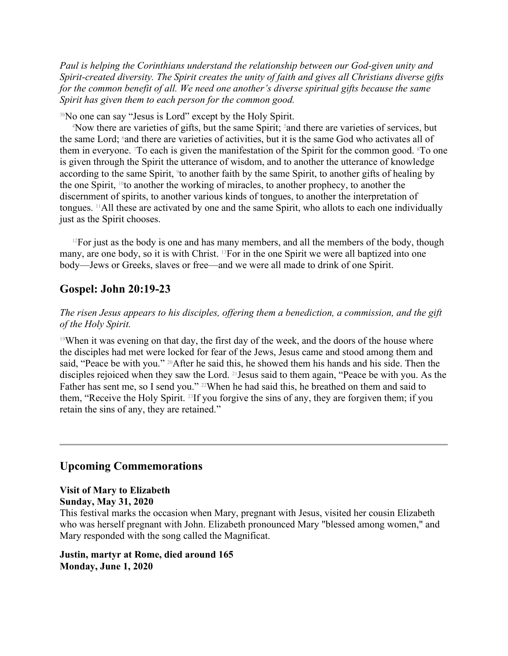*Paul is helping the Corinthians understand the relationship between our God-given unity and Spirit-created diversity. The Spirit creates the unity of faith and gives all Christians diverse gifts for the common benefit of all. We need one another's diverse spiritual gifts because the same Spirit has given them to each person for the common good.*

<sup>3b</sup>No one can say "Jesus is Lord" except by the Holy Spirit.

<sup>4</sup>Now there are varieties of gifts, but the same Spirit; <sup>5</sup> and there are varieties of services, but the same Lord; 6and there are varieties of activities, but it is the same God who activates all of them in everyone. To each is given the manifestation of the Spirit for the common good. <sup>8</sup>To one is given through the Spirit the utterance of wisdom, and to another the utterance of knowledge according to the same Spirit, <sup>9</sup>to another faith by the same Spirit, to another gifts of healing by the one Spirit, 10to another the working of miracles, to another prophecy, to another the discernment of spirits, to another various kinds of tongues, to another the interpretation of tongues. 11All these are activated by one and the same Spirit, who allots to each one individually just as the Spirit chooses.

 $12$ For just as the body is one and has many members, and all the members of the body, though many, are one body, so it is with Christ. 13For in the one Spirit we were all baptized into one body—Jews or Greeks, slaves or free—and we were all made to drink of one Spirit.

#### **Gospel: John 20:19-23**

#### *The risen Jesus appears to his disciples, offering them a benediction, a commission, and the gift of the Holy Spirit.*

<sup>19</sup>When it was evening on that day, the first day of the week, and the doors of the house where the disciples had met were locked for fear of the Jews, Jesus came and stood among them and said, "Peace be with you." <sup>20</sup>After he said this, he showed them his hands and his side. Then the disciples rejoiced when they saw the Lord. 21Jesus said to them again, "Peace be with you. As the Father has sent me, so I send you." <sup>22</sup>When he had said this, he breathed on them and said to them, "Receive the Holy Spirit. 23If you forgive the sins of any, they are forgiven them; if you retain the sins of any, they are retained."

#### **Upcoming Commemorations**

**Visit of Mary to Elizabeth Sunday, May 31, 2020**

This festival marks the occasion when Mary, pregnant with Jesus, visited her cousin Elizabeth who was herself pregnant with John. Elizabeth pronounced Mary "blessed among women," and Mary responded with the song called the Magnificat.

**Justin, martyr at Rome, died around 165 Monday, June 1, 2020**